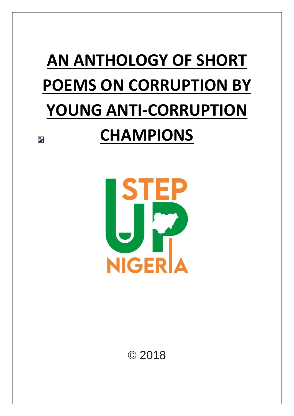# **AN ANTHOLOGY OF SHORT POEMS ON CORRUPTION BY YOUNG ANTI-CORRUPTION**

# **CHAMPIONS**

 $\overline{\mathbf{z}}$ 



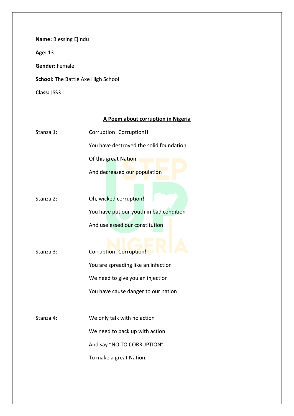**Name:** Blessing Ejindu

**Age:** 13

**Gender:** Female

**School:** The Battle Axe High School

**Class:** JSS3

# **A Poem about corruption in Nigeria**

Stanza 1: Corruption! Corruption!!

You have destroyed the solid foundation

Of this great Nation.

And decreased our population

Stanza 2: Oh, wicked corruption! You have put our youth in bad condition

And uselessed our constitution

Stanza 3: Corruption! Corruption! You are spreading like an infection We need to give you an injection You have cause danger to our nation

Stanza 4: We only talk with no action We need to back up with action And say "NO TO CORRUPTION" To make a great Nation.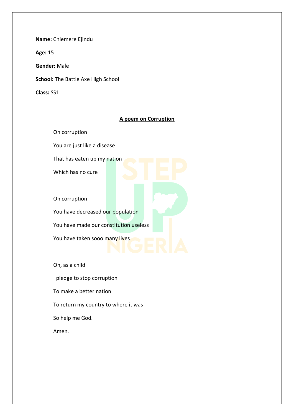**Name:** Chiemere Ejindu

**Age:** 15

**Gender:** Male

**School:** The Battle Axe High School

**Class:** SS1

# **A poem on Corruption**

Oh corruption

You are just like a disease

That has eaten up my nation

Which has no cure

Oh corruption

You have decreased our population You have made our constitution useless

You have taken sooo many lives

Oh, as a child

I pledge to stop corruption

To make a better nation

To return my country to where it was

So help me God.

Amen.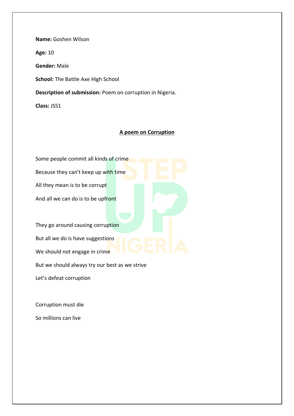**Name:** Goshen Wilson

**Age:** 10

**Gender:** Male

**School:** The Battle Axe High School

**Description of submission:** Poem on corruption in Nigeria.

**Class:** JSS1

#### **A poem on Corruption**

Some people commit all kinds of crime Because they can't keep up with time All they mean is to be corrupt And all we can do is to be upfront They go around causing corruption But all we do is have suggestions We should not engage in crime But we should always try our best as we strive Let's defeat corruption

Corruption must die So millions can live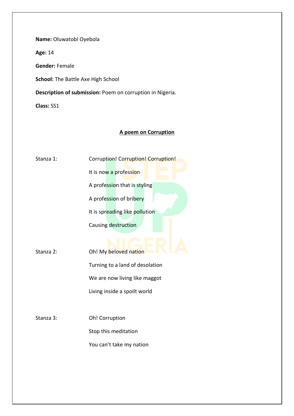**Name:** OluwatobI Oyebola

**Age:** 14

**Gender:** Female

**School:** The Battle Axe High School

**Description of submission:** Poem on corruption in Nigeria.

**Class:** SS1

# **A poem on Corruption**

| Stanza 1: | Corruption! Corruption! Corruption! |
|-----------|-------------------------------------|
|           | It is now a profession              |
|           | A profession that is styling        |
|           | A profession of bribery             |
|           | It is spreading like pollution      |
|           | Causing destruction                 |
|           |                                     |
| Stanza 2: | Oh! My beloved nation               |
|           | Turning to a land of desolation     |
|           | We are now living like maggot       |
|           | Living inside a spoilt world        |
|           |                                     |
| Stanza 3: | Oh! Corruption                      |
|           | Stop this meditation                |
|           | You can't take my nation            |
|           |                                     |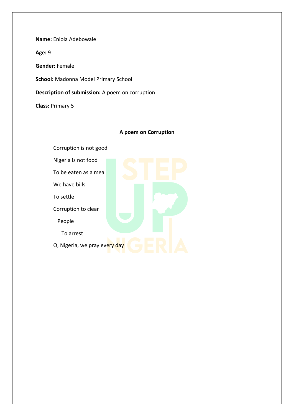**Name:** Eniola Adebowale

**Age:** 9

**Gender:** Female

**School:** Madonna Model Primary School

**Description of submission:** A poem on corruption

**Class:** Primary 5

# **A poem on Corruption**

Corruption is not good

Nigeria is not food

To be eaten as a meal

We have bills

To settle

Corruption to clear

People

To arrest

O, Nigeria, we pray every day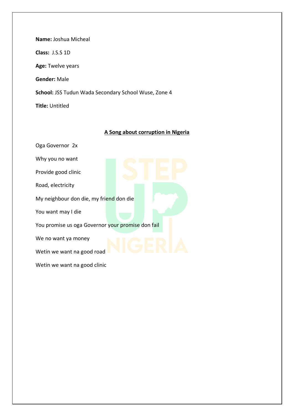**Name:** Joshua Micheal **Class:** J.S.S 1D **Age:** Twelve years **Gender:** Male **School:** JSS Tudun Wada Secondary School Wuse, Zone 4 **Title:** Untitled

#### **A Song about corruption in Nigeria**

Oga Governor 2x Why you no want Provide good clinic Road, electricity My neighbour don die, my friend don die You want may I die You promise us oga Governor your promise don fail We no want ya money Wetin we want na good road Wetin we want na good clinic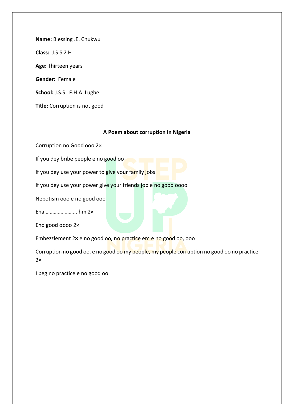**Name:** Blessing .E. Chukwu **Class:** J.S.S 2 H **Age:** Thirteen years **Gender:** Female **School:** J.S.S F.H.A Lugbe

**Title:** Corruption is not good

# **A Poem about corruption in Nigeria**

Corruption no Good ooo 2×

If you dey bribe people e no good oo

If you dey use your power to give your family jobs

If you dey use your power give your friends job e no good oooo

Nepotism ooo e no good ooo

Eha ………………….. hm 2×

Eno good oooo 2×

Embezzlement 2× e no good oo, no practice em e no good oo, ooo

Corruption no good oo, e no good oo my people, my people corruption no good oo no practice  $2x$ 

I beg no practice e no good oo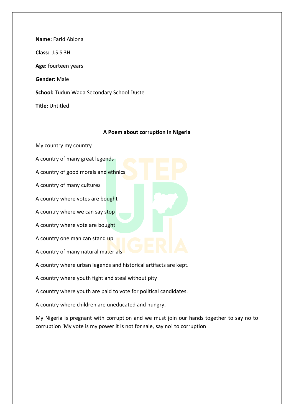| <b>Name:</b> Farid Abiona                        |
|--------------------------------------------------|
| Class: J.S.S 3H                                  |
| Age: fourteen years                              |
| <b>Gender:</b> Male                              |
| <b>School:</b> Tudun Wada Secondary School Duste |
| <b>Title:</b> Untitled                           |

#### **A Poem about corruption in Nigeria**

My country my country

A country of many great legends

A country of good morals and ethnics

A country of many cultures

A country where votes are bought

A country where we can say stop

A country where vote are bought

A country one man can stand up

A country of many natural materials

A country where urban legends and historical artifacts are kept.

A country where youth fight and steal without pity

A country where youth are paid to vote for political candidates.

A country where children are uneducated and hungry.

My Nigeria is pregnant with corruption and we must join our hands together to say no to corruption 'My vote is my power it is not for sale, say no! to corruption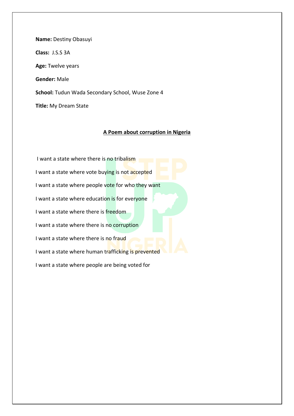**Name:** Destiny Obasuyi **Class:** J.S.S 3A **Age:** Twelve years **Gender:** Male **School:** Tudun Wada Secondary School, Wuse Zone 4 **Title:** My Dream State

#### **A Poem about corruption in Nigeria**

I want a state where there is no tribalism I want a state where vote buying is not accepted I want a state where people vote for who they want I want a state where education is for everyone I want a state where there is freedom I want a state where there is no corruption I want a state where there is no fraud I want a state where human trafficking is prevented I want a state where people are being voted for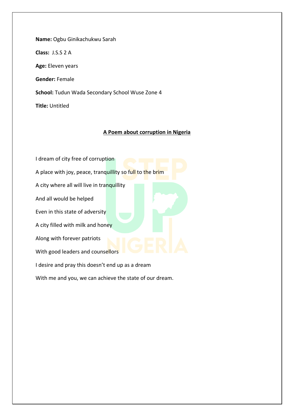**Name:** Ogbu Ginikachukwu Sarah **Class:** J.S.S 2 A **Age:** Eleven years **Gender:** Female **School:** Tudun Wada Secondary School Wuse Zone 4 **Title:** Untitled

#### **A Poem about corruption in Nigeria**

I dream of city free of corruption A place with joy, peace, tranquillity so full to the brim A city where all will live in tranquillity And all would be helped Even in this state of adversity A city filled with milk and honey Along with forever patriots With good leaders and counsellors I desire and pray this doesn't end up as a dream

With me and you, we can achieve the state of our dream.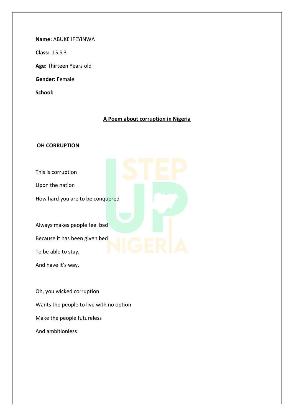**Name:** ABUKE IFEYINWA

**Class:** J.S.S 3

**Age:** Thirteen Years old

**Gender:** Female

**School:** 

# **A Poem about corruption in Nigeria**

# **OH CORRUPTION**

- This is corruption
- Upon the nation

How hard you are to be conquered

Always makes people feel bad Because it has been given bed

To be able to stay,

And have it's way.

Oh, you wicked corruption Wants the people to live with no option Make the people futureless And ambitionless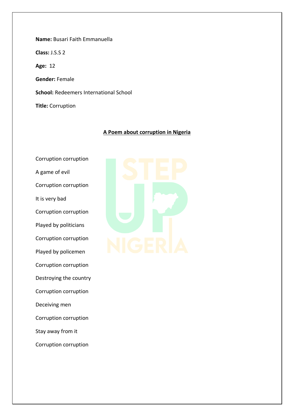**Name:** Busari Faith Emmanuella **Class:** J.S.S 2 **Age:** 12 **Gender:** Female **School:** Redeemers International School **Title:** Corruption

#### **A Poem about corruption in Nigeria**

Corruption corruption A game of evil Corruption corruption It is very bad Corruption corruption Played by politicians Corruption corruption Played by policemen Corruption corruption Destroying the country Corruption corruption Deceiving men Corruption corruption Stay away from it Corruption corruption

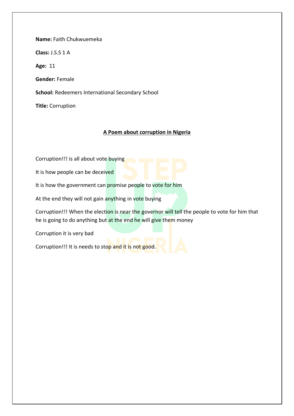**Name:** Faith Chukwuemeka

**Class:** J.S.S 1 A

**Age:** 11

**Gender:** Female

**School:** Redeemers International Secondary School

**Title:** Corruption

#### **A Poem about corruption in Nigeria**

Corruption!!! is all about vote buying

It is how people can be deceived

It is how the government can promise people to vote for him

At the end they will not gain anything in vote buying

Corruption!!! When the election is near the governor will tell the people to vote for him that he is going to do anything but at the end he will give them money

Corruption it is very bad

Corruption!!! It is needs to stop and it is not good.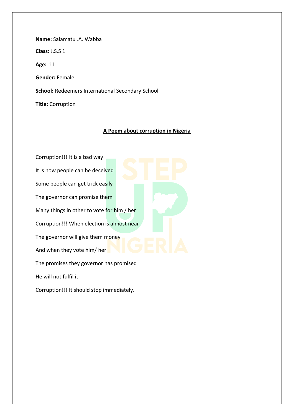**Name:** Salamatu .A. Wabba **Class:** J.S.S 1 **Age:** 11 **Gender:** Female **School:** Redeemers International Secondary School **Title:** Corruption

#### **A Poem about corruption in Nigeria**

Corruption**!!!** It is a bad way It is how people can be deceived Some people can get trick easily The governor can promise them Many things in other to vote for him / her Corruption!!! When election is almost near The governor will give them money And when they vote him/ her The promises they governor has promised He will not fulfil it

Corruption!!! It should stop immediately.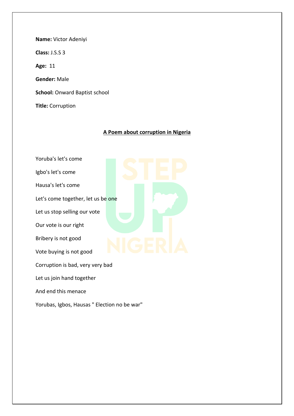**Name:** Victor Adeniyi **Class:** J.S.S 3 **Age:** 11 **Gender:** Male **School:** Onward Baptist school **Title:** Corruption

#### **A Poem about corruption in Nigeria**

- Yoruba's let's come
- Igbo's let's come
- Hausa's let's come
- Let's come together, let us be one
- Let us stop selling our vote
- Our vote is our right
- Bribery is not good
- Vote buying is not good
- Corruption is bad, very very bad
- Let us join hand together
- And end this menace
- Yorubas, Igbos, Hausas " Election no be war"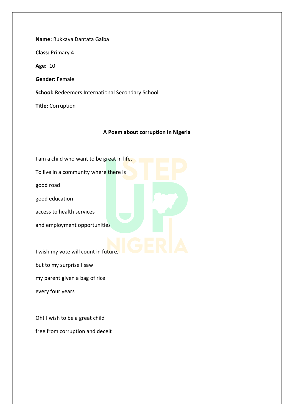**Name:** Rukkaya Dantata Gaiba **Class:** Primary 4 **Age:** 10 **Gender:** Female **School:** Redeemers International Secondary School **Title:** Corruption

#### **A Poem about corruption in Nigeria**

I am a child who want to be great in life. To live in a community where there is good road good education access to health services and employment opportunities I wish my vote will count in future, but to my surprise I saw

my parent given a bag of rice

every four years

Oh! I wish to be a great child free from corruption and deceit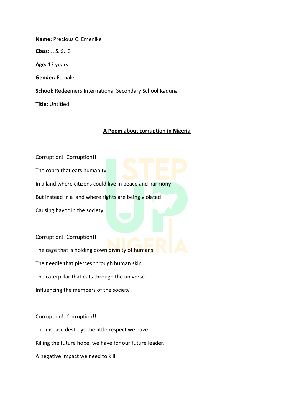**Name:** Precious C. Emenike **Class:** J. S. S. 3 **Age:** 13 years **Gender:** Female **School:** Redeemers International Secondary School Kaduna **Title:** Untitled

#### **A Poem about corruption in Nigeria**

Corruption! Corruption!!

The cobra that eats humanity

In a land where citizens could live in peace and harmony

But instead in a land where rights are being violated

Causing havoc in the society.

Corruption! Corruption!!

The cage that is holding down divinity of humans

The needle that pierces through human skin

The caterpillar that eats through the universe

Influencing the members of the society

Corruption! Corruption!!

The disease destroys the little respect we have Killing the future hope, we have for our future leader.

A negative impact we need to kill.